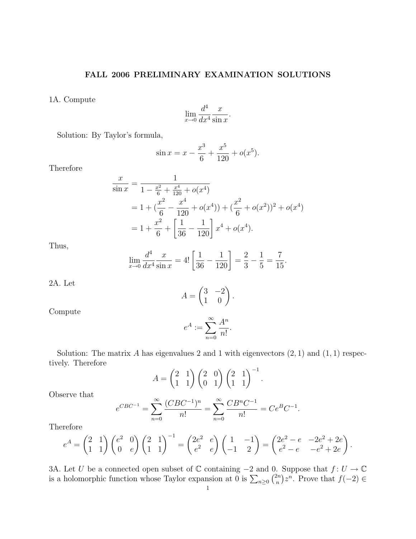## FALL 2006 PRELIMINARY EXAMINATION SOLUTIONS

1A. Compute

$$
\lim_{x \to 0} \frac{d^4}{dx^4} \frac{x}{\sin x}.
$$

Solution: By Taylor's formula,

$$
\sin x = x - \frac{x^3}{6} + \frac{x^5}{120} + o(x^5).
$$

1

Therefore

$$
\frac{x}{\sin x} = \frac{1}{1 - \frac{x^2}{6} + \frac{x^4}{120} + o(x^4)}
$$
  
=  $1 + (\frac{x^2}{6} - \frac{x^4}{120} + o(x^4)) + (\frac{x^2}{6} + o(x^2))^2 + o(x^4)$   
=  $1 + \frac{x^2}{6} + \left[\frac{1}{36} - \frac{1}{120}\right] x^4 + o(x^4).$ 

Thus,

$$
\lim_{x \to 0} \frac{d^4}{dx^4} \frac{x}{\sin x} = 4! \left[ \frac{1}{36} - \frac{1}{120} \right] = \frac{2}{3} - \frac{1}{5} = \frac{7}{15}.
$$

2A. Let

$$
A = \begin{pmatrix} 3 & -2 \\ 1 & 0 \end{pmatrix}.
$$

Compute

$$
e^A := \sum_{n=0}^{\infty} \frac{A^n}{n!}.
$$

Solution: The matrix A has eigenvalues 2 and 1 with eigenvectors  $(2, 1)$  and  $(1, 1)$  respectively. Therefore

$$
A = \begin{pmatrix} 2 & 1 \\ 1 & 1 \end{pmatrix} \begin{pmatrix} 2 & 0 \\ 0 & 1 \end{pmatrix} \begin{pmatrix} 2 & 1 \\ 1 & 1 \end{pmatrix}^{-1}.
$$

Observe that

$$
e^{CBC^{-1}} = \sum_{n=0}^{\infty} \frac{(CBC^{-1})^n}{n!} = \sum_{n=0}^{\infty} \frac{CB^nC^{-1}}{n!} = Ce^BC^{-1}.
$$

Therefore

$$
e^{A} = \begin{pmatrix} 2 & 1 \\ 1 & 1 \end{pmatrix} \begin{pmatrix} e^{2} & 0 \\ 0 & e \end{pmatrix} \begin{pmatrix} 2 & 1 \\ 1 & 1 \end{pmatrix}^{-1} = \begin{pmatrix} 2e^{2} & e \\ e^{2} & e \end{pmatrix} \begin{pmatrix} 1 & -1 \\ -1 & 2 \end{pmatrix} = \begin{pmatrix} 2e^{2} - e & -2e^{2} + 2e \\ e^{2} - e & -e^{2} + 2e \end{pmatrix}
$$

.

3A. Let U be a connected open subset of  $\mathbb C$  containing  $-2$  and 0. Suppose that  $f: U \to \mathbb C$ is a holomorphic function whose Taylor expansion at 0 is  $\sum_{n\geq 0} {2n \choose n}$  $\binom{2n}{n}z^n$ . Prove that  $f(-2) \in$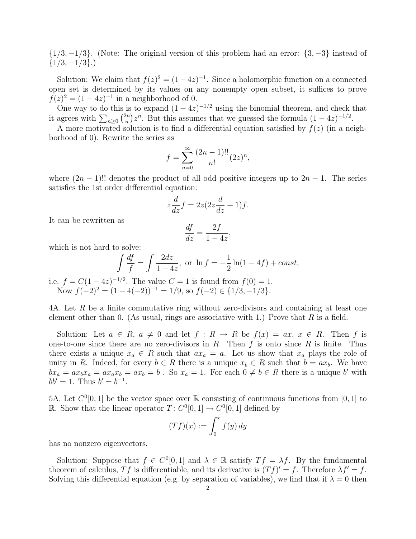$\{1/3, -1/3\}$ . (Note: The original version of this problem had an error:  $\{3, -3\}$  instead of  $\{1/3, -1/3\}.$ 

Solution: We claim that  $f(z)^2 = (1-4z)^{-1}$ . Since a holomorphic function on a connected open set is determined by its values on any nonempty open subset, it suffices to prove  $f(z)^2 = (1 - 4z)^{-1}$  in a neighborhood of 0.

One way to do this is to expand  $(1-4z)^{-1/2}$  using the binomial theorem, and check that it agrees with  $\sum_{n\geq 0} {2n \choose n}$  $\binom{2n}{n}z^n$ . But this assumes that we guessed the formula  $(1-4z)^{-1/2}$ .

A more motivated solution is to find a differential equation satisfied by  $f(z)$  (in a neighborhood of 0). Rewrite the series as

$$
f = \sum_{n=0}^{\infty} \frac{(2n-1)!!}{n!} (2z)^n,
$$

where  $(2n-1)!!$  denotes the product of all odd positive integers up to  $2n-1$ . The series satisfies the 1st order differential equation:

$$
z\frac{d}{dz}f = 2z(2z\frac{d}{dz} + 1)f.
$$

It can be rewritten as

$$
\frac{df}{dz} = \frac{2f}{1 - 4z}
$$

,

which is not hard to solve:

$$
\int \frac{df}{f} = \int \frac{2dz}{1 - 4z}, \text{ or } \ln f = -\frac{1}{2}\ln(1 - 4f) + const,
$$

i.e.  $f = C(1-4z)^{-1/2}$ . The value  $C = 1$  is found from  $f(0) = 1$ . Now  $f(-2)^2 = (1 - 4(-2))^{-1} = 1/9$ , so  $f(-2) \in \{1/3, -1/3\}$ .

4A. Let R be a finite commutative ring without zero-divisors and containing at least one element other than 0. (As usual, rings are associative with 1.) Prove that  $R$  is a field.

Solution: Let  $a \in R$ ,  $a \neq 0$  and let  $f : R \to R$  be  $f(x) = ax$ ,  $x \in R$ . Then f is one-to-one since there are no zero-divisors in  $R$ . Then  $f$  is onto since  $R$  is finite. Thus there exists a unique  $x_a \in R$  such that  $ax_a = a$ . Let us show that  $x_a$  plays the role of unity in R. Indeed, for every  $b \in R$  there is a unique  $x_b \in R$  such that  $b = ax_b$ . We have  $bx_a = ax_bx_a = ax_ax_b = ax_b = b$ . So  $x_a = 1$ . For each  $0 \neq b \in R$  there is a unique b' with  $bb' = 1$ . Thus  $b' = b^{-1}$ .

5A. Let  $C^0[0,1]$  be the vector space over  $\mathbb R$  consisting of continuous functions from  $[0,1]$  to R. Show that the linear operator  $T: C^0[0,1] \to C^0[0,1]$  defined by

$$
(Tf)(x) := \int_0^x f(y) \, dy
$$

has no nonzero eigenvectors.

Solution: Suppose that  $f \in C^{0}[0,1]$  and  $\lambda \in \mathbb{R}$  satisfy  $T f = \lambda f$ . By the fundamental theorem of calculus, Tf is differentiable, and its derivative is  $(Tf)' = f$ . Therefore  $\lambda f' = f$ . Solving this differential equation (e.g. by separation of variables), we find that if  $\lambda = 0$  then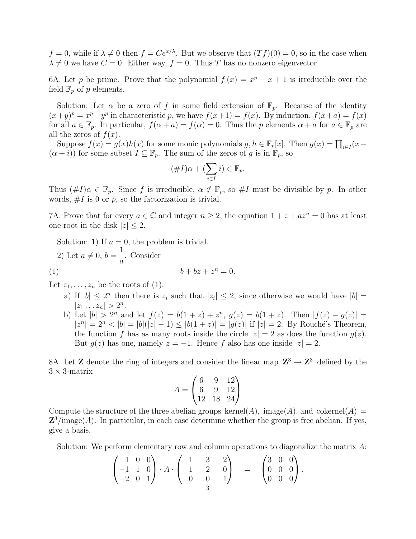$f = 0$ , while if  $\lambda \neq 0$  then  $f = Ce^{x/\lambda}$ . But we observe that  $(Tf)(0) = 0$ , so in the case when  $\lambda \neq 0$  we have  $C = 0$ . Either way,  $f = 0$ . Thus T has no nonzero eigenvector.

6A. Let p be prime. Prove that the polynomial  $f(x) = x^p - x + 1$  is irreducible over the field  $\mathbb{F}_p$  of p elements.

Solution: Let  $\alpha$  be a zero of f in some field extension of  $\mathbb{F}_p$ . Because of the identity  $(x+y)^p = x^p + y^p$  in characteristic p, we have  $f(x+1) = f(x)$ . By induction,  $f(x+a) = f(x)$ for all  $a \in \mathbb{F}_p$ . In particular,  $f(\alpha + a) = f(\alpha) = 0$ . Thus the p elements  $\alpha + a$  for  $a \in \mathbb{F}_p$  are all the zeros of  $f(x)$ .

Suppose  $f(x) = g(x)h(x)$  for some monic polynomials  $g, h \in \mathbb{F}_p[x]$ . Then  $g(x) = \prod_{i \in I} (x (\alpha + i)$  for some subset  $I \subseteq \mathbb{F}_p$ . The sum of the zeros of g is in  $\mathbb{F}_p$ , so

$$
(\#I)\alpha + (\sum_{i \in I} i) \in \mathbb{F}_p.
$$

Thus  $(\#I)\alpha \in \mathbb{F}_p$ . Since f is irreducible,  $\alpha \notin \mathbb{F}_p$ , so  $\#I$  must be divisible by p. In other words,  $\#I$  is 0 or p, so the factorization is trivial.

7A. Prove that for every  $a \in \mathbb{C}$  and integer  $n \geq 2$ , the equation  $1 + z + az^n = 0$  has at least one root in the disk  $|z| < 2$ .

Solution: 1) If  $a = 0$ , the problem is trivial.

2) Let 
$$
a \neq 0
$$
,  $b = \frac{1}{a}$ . Consider  
(1) 
$$
b + bz + z^{n} = 0.
$$

Let  $z_1, \ldots, z_n$  be the roots of (1).

- a) If  $|b| \leq 2^n$  then there is  $z_i$  such that  $|z_i| \leq 2$ , since otherwise we would have  $|b| =$  $|z_1 \dots z_n| > 2^n$ .
- b) Let  $|b| > 2^n$  and let  $f(z) = b(1 + z) + z^n$ ,  $g(z) = b(1 + z)$ . Then  $|f(z) g(z)| =$  $|z^n| = 2^n < |b| = |b|(|z| - 1) \le |b(1 + z)| = |g(z)|$  if  $|z| = 2$ . By Rouché's Theorem, the function f has as many roots inside the circle  $|z| = 2$  as does the function  $g(z)$ . But  $g(z)$  has one, namely  $z = -1$ . Hence f also has one inside  $|z| = 2$ .

8A. Let **Z** denote the ring of integers and consider the linear map  $\mathbb{Z}^3 \to \mathbb{Z}^3$  defined by the  $3 \times 3$ -matrix

$$
A = \begin{pmatrix} 6 & 9 & 12 \\ 6 & 9 & 12 \\ 12 & 18 & 24 \end{pmatrix}
$$

Compute the structure of the three abelian groups kernel(A), image(A), and cokernel(A) =  $\mathbb{Z}^3$ /image(A). In particular, in each case determine whether the group is free abelian. If yes, give a basis.

Solution: We perform elementary row and column operations to diagonalize the matrix A:

$$
\begin{pmatrix} 1 & 0 & 0 \ -1 & 1 & 0 \ -2 & 0 & 1 \end{pmatrix} \cdot A \cdot \begin{pmatrix} -1 & -3 & -2 \ 1 & 2 & 0 \ 0 & 0 & 1 \end{pmatrix} = \begin{pmatrix} 3 & 0 & 0 \ 0 & 0 & 0 \ 0 & 0 & 0 \end{pmatrix}.
$$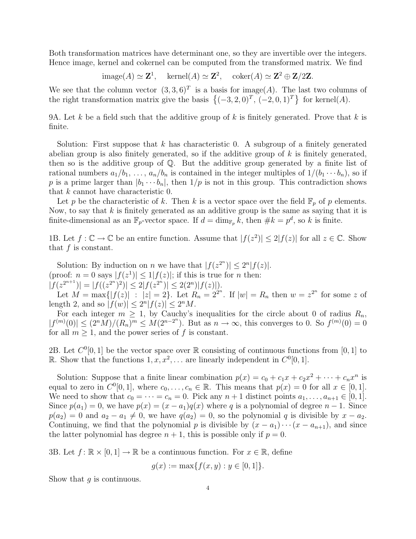Both transformation matrices have determinant one, so they are invertible over the integers. Hence image, kernel and cokernel can be computed from the transformed matrix. We find

 $\text{image}(A) \simeq \mathbf{Z}^1$ ,  $\text{kernel}(A) \simeq \mathbf{Z}^2$ ,  $\text{coker}(A) \simeq \mathbf{Z}^2 \oplus \mathbf{Z}/2\mathbf{Z}$ .

We see that the column vector  $(3,3,6)^T$  is a basis for image(A). The last two columns of the right transformation matrix give the basis  $\{(-3, 2, 0)^T, (-2, 0, 1)^T\}$  for kernel(A).

9A. Let k be a field such that the additive group of k is finitely generated. Prove that k is finite.

Solution: First suppose that  $k$  has characteristic 0. A subgroup of a finitely generated abelian group is also finitely generated, so if the additive group of  $k$  is finitely generated, then so is the additive group of Q. But the additive group generated by a finite list of rational numbers  $a_1/b_1, \ldots, a_n/b_n$  is contained in the integer multiples of  $1/(b_1 \cdots b_n)$ , so if p is a prime larger than  $|b_1 \cdots b_n|$ , then  $1/p$  is not in this group. This contradiction shows that k cannot have characteristic 0.

Let p be the characteristic of k. Then k is a vector space over the field  $\mathbb{F}_p$  of p elements. Now, to say that  $k$  is finitely generated as an additive group is the same as saying that it is finite-dimensional as an  $\mathbb{F}_p$ -vector space. If  $d = \dim_{\mathbb{F}_p} k$ , then  $\#k = p^d$ , so k is finite.

1B. Let  $f: \mathbb{C} \to \mathbb{C}$  be an entire function. Assume that  $|f(z^2)| \leq 2|f(z)|$  for all  $z \in \mathbb{C}$ . Show that  $f$  is constant.

Solution: By induction on *n* we have that  $|f(z^{2^n})| \leq 2^n |f(z)|$ . (proof:  $n = 0$  says  $|f(z^1)| \leq 1 |f(z)|$ ; if this is true for *n* then:  $|f(z^{2^{n+1}})| = |f((z^{2^n})^2)| \le 2|f(z^{2^n})| \le 2(2^n)|f(z)|$ .

Let  $M = \max\{|f(z)| : |z| = 2\}$ . Let  $R_n = 2^{2^n}$ . If  $|w| = R_n$  then  $w = z^{2^n}$  for some z of length 2, and so  $|f(w)| \leq 2^n |f(z)| \leq 2^n M$ .

For each integer  $m \geq 1$ , by Cauchy's inequalities for the circle about 0 of radius  $R_n$ ,  $|f^{(m)}(0)| \leq (2^n M)/(R_n)^m \leq M(2^{n-2^n})$ . But as  $n \to \infty$ , this converges to 0. So  $f^{(m)}(0) = 0$ for all  $m \geq 1$ , and the power series of f is constant.

2B. Let  $C^0[0,1]$  be the vector space over  $\mathbb R$  consisting of continuous functions from  $[0,1]$  to R. Show that the functions  $1, x, x^2, \ldots$  are linearly independent in  $C^0[0,1]$ .

Solution: Suppose that a finite linear combination  $p(x) = c_0 + c_1x + c_2x^2 + \cdots + c_nx^n$  is equal to zero in  $C^0[0,1]$ , where  $c_0, \ldots, c_n \in \mathbb{R}$ . This means that  $p(x) = 0$  for all  $x \in [0,1]$ . We need to show that  $c_0 = \cdots = c_n = 0$ . Pick any  $n + 1$  distinct points  $a_1, \ldots, a_{n+1} \in [0, 1]$ . Since  $p(a_1) = 0$ , we have  $p(x) = (x - a_1)q(x)$  where q is a polynomial of degree  $n - 1$ . Since  $p(a_2) = 0$  and  $a_2 - a_1 \neq 0$ , we have  $q(a_2) = 0$ , so the polynomial q is divisible by  $x - a_2$ . Continuing, we find that the polynomial p is divisible by  $(x - a_1) \cdots (x - a_{n+1})$ , and since the latter polynomial has degree  $n + 1$ , this is possible only if  $p = 0$ .

3B. Let  $f: \mathbb{R} \times [0,1] \to \mathbb{R}$  be a continuous function. For  $x \in \mathbb{R}$ , define

$$
g(x) := \max\{f(x, y) : y \in [0, 1]\}.
$$

Show that  $q$  is continuous.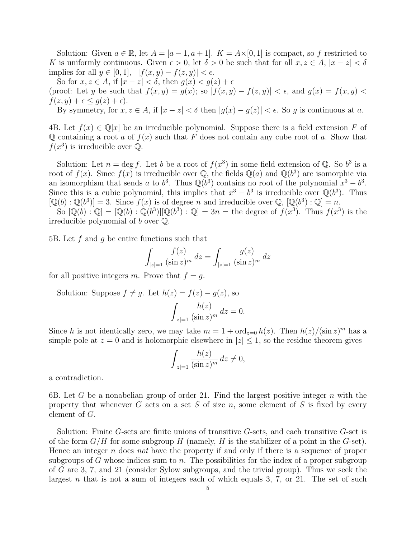Solution: Given  $a \in \mathbb{R}$ , let  $A = [a-1, a+1]$ .  $K = A \times [0, 1]$  is compact, so f restricted to K is uniformly continuous. Given  $\epsilon > 0$ , let  $\delta > 0$  be such that for all  $x, z \in A$ ,  $|x - z| < \delta$ implies for all  $y \in [0, 1]$ ,  $|f(x, y) - f(z, y)| < \epsilon$ .

So for  $x, z \in A$ , if  $|x-z| < \delta$ , then  $g(x) < g(z) + \epsilon$ 

(proof: Let y be such that  $f(x, y) = g(x)$ ; so  $|f(x, y) - f(z, y)| < \epsilon$ , and  $g(x) = f(x, y)$  $f(z, y) + \epsilon \leq g(z) + \epsilon$ .

By symmetry, for  $x, z \in A$ , if  $|x - z| < \delta$  then  $|g(x) - g(z)| < \epsilon$ . So g is continuous at a.

4B. Let  $f(x) \in \mathbb{Q}[x]$  be an irreducible polynomial. Suppose there is a field extension F of Q containing a root a of  $f(x)$  such that F does not contain any cube root of a. Show that  $f(x^3)$  is irreducible over  $\mathbb{Q}$ .

Solution: Let  $n = \deg f$ . Let b be a root of  $f(x^3)$  in some field extension of Q. So  $b^3$  is a root of  $f(x)$ . Since  $f(x)$  is irreducible over Q, the fields Q(a) and Q(b<sup>3</sup>) are isomorphic via an isomorphism that sends a to  $b^3$ . Thus  $\mathbb{Q}(b^3)$  contains no root of the polynomial  $x^3 - b^3$ . Since this is a cubic polynomial, this implies that  $x^3 - b^3$  is irreducible over  $\mathbb{Q}(b^3)$ . Thus  $[\mathbb{Q}(b) : \mathbb{Q}(b^3)] = 3$ . Since  $f(x)$  is of degree n and irreducible over  $\mathbb{Q}, [\mathbb{Q}(b^3) : \mathbb{Q}] = n$ .

So  $[\mathbb{Q}(b) : \mathbb{Q}] = [\mathbb{Q}(b) : \mathbb{Q}(b^3)][\mathbb{Q}(b^3) : \mathbb{Q}] = 3n =$  the degree of  $f(x^3)$ . Thus  $f(x^3)$  is the irreducible polynomial of  $b$  over  $\mathbb Q$ .

5B. Let  $f$  and  $g$  be entire functions such that

$$
\int_{|z|=1} \frac{f(z)}{(\sin z)^m} dz = \int_{|z|=1} \frac{g(z)}{(\sin z)^m} dz
$$

for all positive integers m. Prove that  $f = g$ .

Solution: Suppose  $f \neq q$ . Let  $h(z) = f(z) - q(z)$ , so

$$
\int_{|z|=1} \frac{h(z)}{(\sin z)^m} dz = 0.
$$

Since h is not identically zero, we may take  $m = 1 + \text{ord}_{z=0} h(z)$ . Then  $h(z)/(\sin z)^m$  has a simple pole at  $z = 0$  and is holomorphic elsewhere in  $|z| \leq 1$ , so the residue theorem gives

$$
\int_{|z|=1} \frac{h(z)}{(\sin z)^m} dz \neq 0,
$$

a contradiction.

6B. Let G be a nonabelian group of order 21. Find the largest positive integer  $n$  with the property that whenever G acts on a set S of size n, some element of S is fixed by every element of G.

Solution: Finite G-sets are finite unions of transitive G-sets, and each transitive G-set is of the form  $G/H$  for some subgroup H (namely, H is the stabilizer of a point in the G-set). Hence an integer n does not have the property if and only if there is a sequence of proper subgroups of G whose indices sum to  $n$ . The possibilities for the index of a proper subgroup of G are 3, 7, and 21 (consider Sylow subgroups, and the trivial group). Thus we seek the largest n that is not a sum of integers each of which equals 3, 7, or 21. The set of such